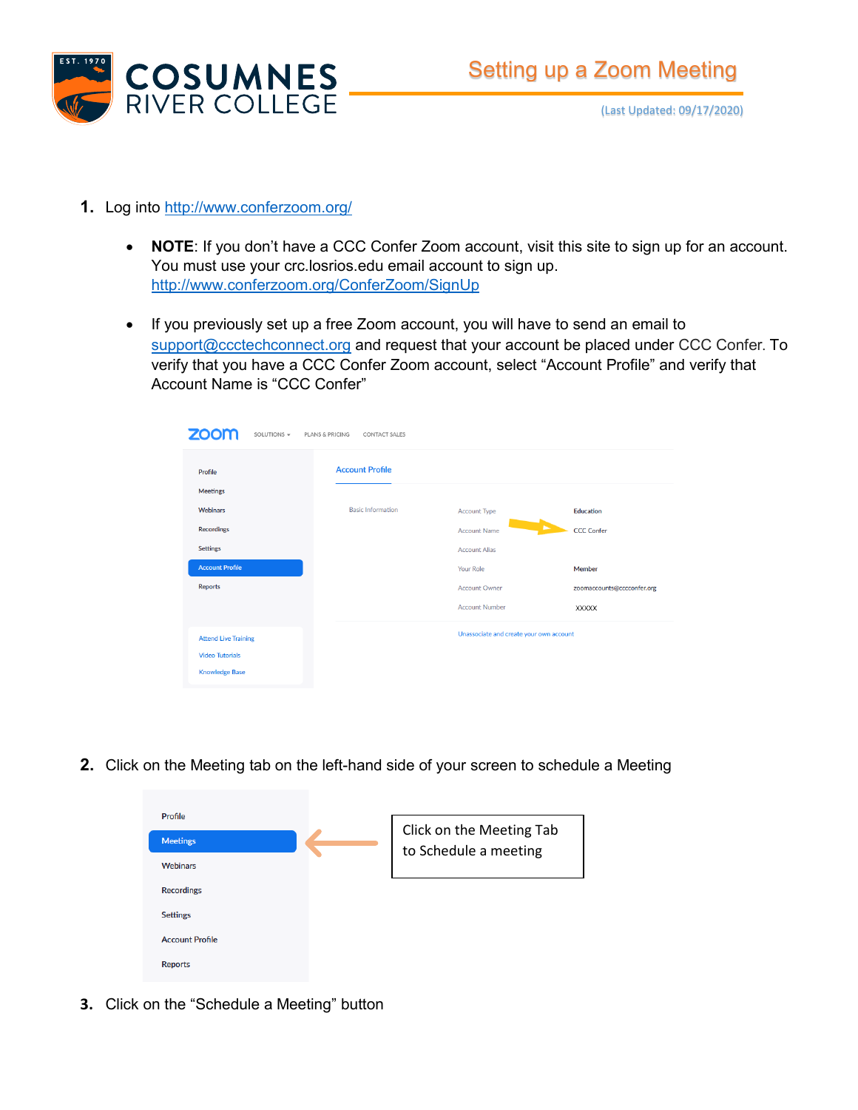

- **1.** Log into<http://www.conferzoom.org/>
	- **NOTE**: If you don't have a CCC Confer Zoom account, visit this site to sign up for an account. You must use your crc.losrios.edu email account to sign up. <http://www.conferzoom.org/ConferZoom/SignUp>
	- If you previously set up a free Zoom account, you will have to send an email to [support@ccctechconnect.org](mailto:support@ccctechconnect.org) and request that your account be placed under CCC Confer. To verify that you have a CCC Confer Zoom account, select "Account Profile" and verify that Account Name is "CCC Confer"

| <b>ZOOM</b><br>SOLUTIONS -<br>PLANS & PRICING<br><b>CONTACT SALES</b> |                          |                       |                                         |  |  |
|-----------------------------------------------------------------------|--------------------------|-----------------------|-----------------------------------------|--|--|
| Profile                                                               | <b>Account Profile</b>   |                       |                                         |  |  |
| <b>Meetings</b>                                                       |                          |                       |                                         |  |  |
| <b>Webinars</b>                                                       | <b>Basic Information</b> | <b>Account Type</b>   | Education                               |  |  |
| <b>Recordings</b>                                                     |                          | <b>Account Name</b>   | <b>CCC Confer</b>                       |  |  |
| <b>Settings</b>                                                       |                          | <b>Account Alias</b>  |                                         |  |  |
| <b>Account Profile</b>                                                |                          | <b>Your Role</b>      | Member                                  |  |  |
| <b>Reports</b>                                                        |                          | <b>Account Owner</b>  | zoomaccounts@cccconfer.org              |  |  |
|                                                                       |                          | <b>Account Number</b> | <b>XXXXX</b>                            |  |  |
| <b>Attend Live Training</b>                                           |                          |                       | Unassociate and create your own account |  |  |
| <b>Video Tutorials</b>                                                |                          |                       |                                         |  |  |
| <b>Knowledge Base</b>                                                 |                          |                       |                                         |  |  |

**2.** Click on the Meeting tab on the left-hand side of your screen to schedule a Meeting

| Profile                |                                                   |
|------------------------|---------------------------------------------------|
| <b>Meetings</b>        | Click on the Meeting Tab<br>to Schedule a meeting |
| <b>Webinars</b>        |                                                   |
| <b>Recordings</b>      |                                                   |
| <b>Settings</b>        |                                                   |
| <b>Account Profile</b> |                                                   |
| <b>Reports</b>         |                                                   |

**3.** Click on the "Schedule a Meeting" button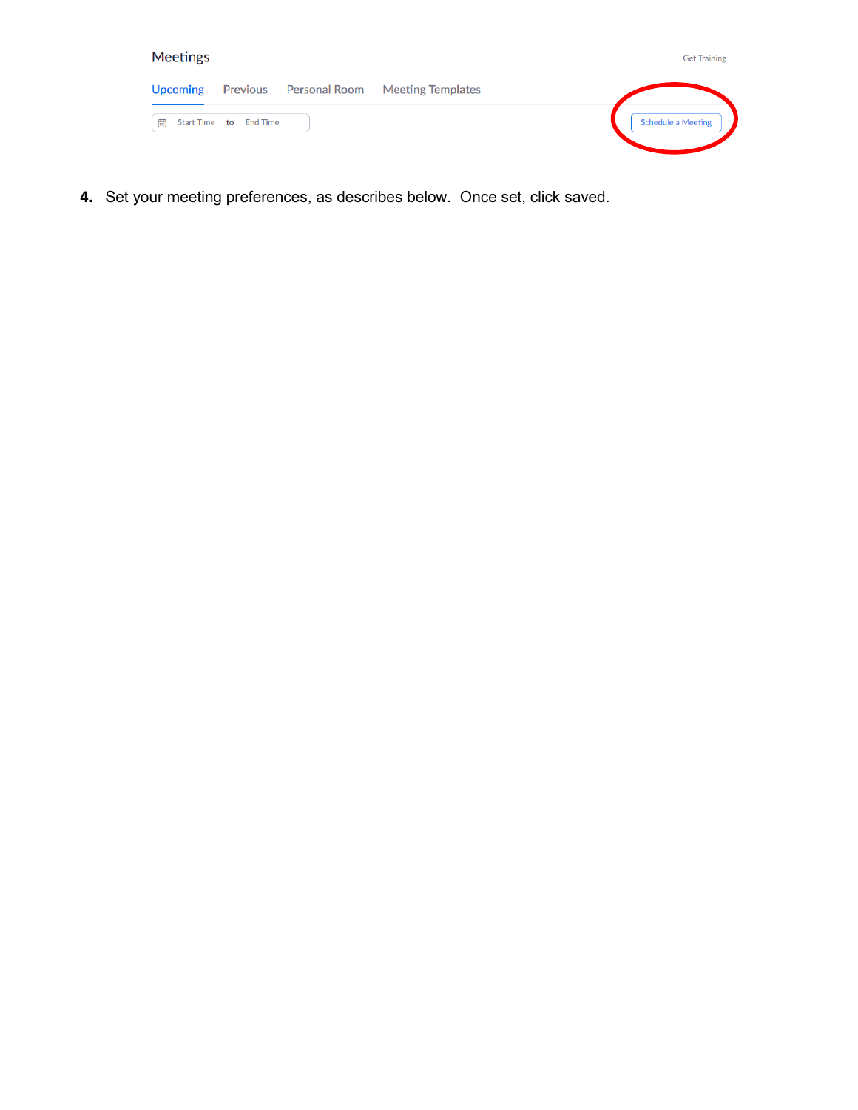| <b>Meetings</b> |                        |                                          | <b>Get Training</b>       |
|-----------------|------------------------|------------------------------------------|---------------------------|
| <b>Upcoming</b> |                        | Previous Personal Room Meeting Templates |                           |
| 曲               | Start Time to End Time |                                          | <b>Schedule a Meeting</b> |

**4.** Set your meeting preferences, as describes below. Once set, click saved.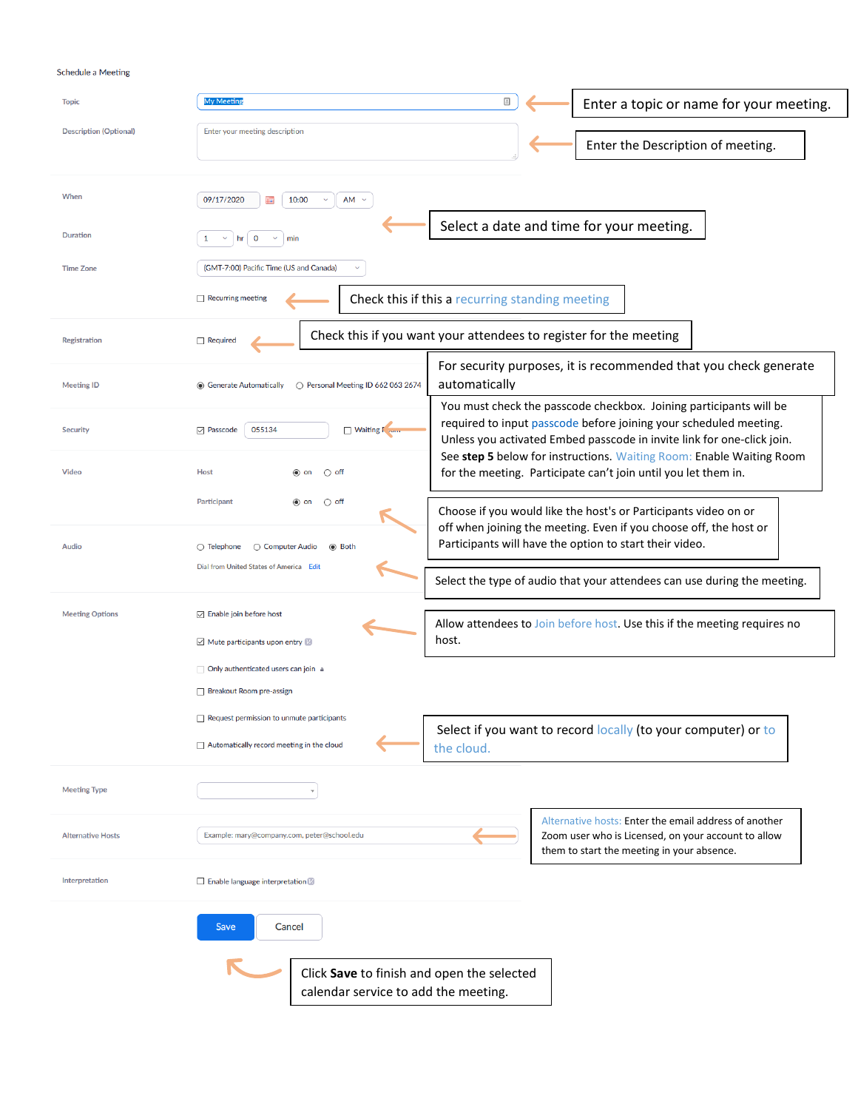## Schedule a Meeting

| <b>Topic</b>                  | My Meeting                                                                                    | ▣                                                                                                                                                                                                                 | Enter a topic or name for your meeting.                                                                                                                    |  |
|-------------------------------|-----------------------------------------------------------------------------------------------|-------------------------------------------------------------------------------------------------------------------------------------------------------------------------------------------------------------------|------------------------------------------------------------------------------------------------------------------------------------------------------------|--|
| <b>Description (Optional)</b> | Enter your meeting description                                                                |                                                                                                                                                                                                                   | Enter the Description of meeting.                                                                                                                          |  |
|                               |                                                                                               |                                                                                                                                                                                                                   |                                                                                                                                                            |  |
| When                          | 09/17/2020<br>10:00<br>$AM \sim$<br>m                                                         |                                                                                                                                                                                                                   |                                                                                                                                                            |  |
| Duration                      | O<br>1<br>min                                                                                 |                                                                                                                                                                                                                   | Select a date and time for your meeting.                                                                                                                   |  |
| <b>Time Zone</b>              | (GMT-7:00) Pacific Time (US and Canada)                                                       |                                                                                                                                                                                                                   |                                                                                                                                                            |  |
|                               | $\Box$ Recurring meeting                                                                      | Check this if this a recurring standing meeting                                                                                                                                                                   |                                                                                                                                                            |  |
| Registration                  | Required                                                                                      | Check this if you want your attendees to register for the meeting                                                                                                                                                 |                                                                                                                                                            |  |
| <b>Meeting ID</b>             | ◯ Personal Meeting ID 662 063 2674<br>◉ Generate Automatically                                | automatically                                                                                                                                                                                                     | For security purposes, it is recommended that you check generate                                                                                           |  |
| <b>Security</b>               | $\triangledown$ Passcode<br>055134<br>Waiting F                                               | You must check the passcode checkbox. Joining participants will be<br>required to input passcode before joining your scheduled meeting.<br>Unless you activated Embed passcode in invite link for one-click join. |                                                                                                                                                            |  |
| <b>Video</b>                  | <b>Host</b><br>$\bigcirc$ off<br>◉ on                                                         |                                                                                                                                                                                                                   | See step 5 below for instructions. Waiting Room: Enable Waiting Room<br>for the meeting. Participate can't join until you let them in.                     |  |
|                               | Participant<br>$\bigcirc$ off<br>$\odot$ on                                                   |                                                                                                                                                                                                                   | Choose if you would like the host's or Participants video on or<br>off when joining the meeting. Even if you choose off, the host or                       |  |
| Audio                         | $\bigcirc$ Telephone<br>○ Computer Audio<br>◉ Both<br>Dial from United States of America Edit |                                                                                                                                                                                                                   | Participants will have the option to start their video.                                                                                                    |  |
|                               |                                                                                               |                                                                                                                                                                                                                   | Select the type of audio that your attendees can use during the meeting.                                                                                   |  |
| <b>Meeting Options</b>        | $\boxdot$ Enable join before host<br>$\boxtimes$ Mute participants upon entry $\boxtimes$     | host.                                                                                                                                                                                                             | Allow attendees to Join before host. Use this if the meeting requires no                                                                                   |  |
|                               | Only authenticated users can join a                                                           |                                                                                                                                                                                                                   |                                                                                                                                                            |  |
|                               | Breakout Room pre-assign                                                                      |                                                                                                                                                                                                                   |                                                                                                                                                            |  |
|                               | $\Box$ Request permission to unmute participants                                              |                                                                                                                                                                                                                   | Select if you want to record locally (to your computer) or to                                                                                              |  |
|                               | $\Box$ Automatically record meeting in the cloud                                              | the cloud.                                                                                                                                                                                                        |                                                                                                                                                            |  |
| <b>Meeting Type</b>           | $\overline{\mathbf{v}}$                                                                       |                                                                                                                                                                                                                   |                                                                                                                                                            |  |
| <b>Alternative Hosts</b>      | Example: mary@company.com, peter@school.edu                                                   |                                                                                                                                                                                                                   | Alternative hosts: Enter the email address of another<br>Zoom user who is Licensed, on your account to allow<br>them to start the meeting in your absence. |  |
| Interpretation                | $\Box$ Enable language interpretation $\Box$                                                  |                                                                                                                                                                                                                   |                                                                                                                                                            |  |
|                               | Save<br>Cancel                                                                                |                                                                                                                                                                                                                   |                                                                                                                                                            |  |
|                               | Click Save to finish and open the selected<br>calendar service to add the meeting.            |                                                                                                                                                                                                                   |                                                                                                                                                            |  |